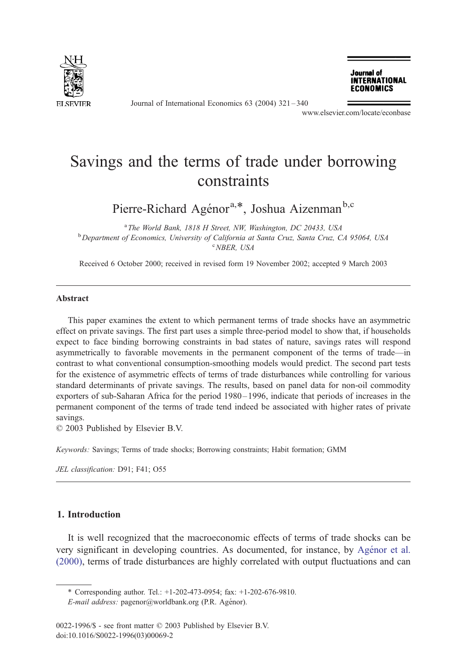

Journal of International Economics 63 (2004) 321 – 340

Journal of **INTERNATIONAL ECONOMICS** 

www.elsevier.com/locate/econbase

# Savings and the terms of trade under borrowing constraints

Pierre-Richard Agénor<sup>a,\*</sup>, Joshua Aizenman<sup>b,c</sup>

<sup>a</sup> The World Bank, 1818 H Street, NW, Washington, DC 20433, USA<br><sup>b</sup> Department of Economics, University of California at Santa Cruz, Santa Cruz, C <sup>b</sup> Department of Economics, University of California at Santa Cruz, Santa Cruz, CA 95064, USA NBER, USA

Received 6 October 2000; received in revised form 19 November 2002; accepted 9 March 2003

#### Abstract

This paper examines the extent to which permanent terms of trade shocks have an asymmetric effect on private savings. The first part uses a simple three-period model to show that, if households expect to face binding borrowing constraints in bad states of nature, savings rates will respond asymmetrically to favorable movements in the permanent component of the terms of trade—in contrast to what conventional consumption-smoothing models would predict. The second part tests for the existence of asymmetric effects of terms of trade disturbances while controlling for various standard determinants of private savings. The results, based on panel data for non-oil commodity exporters of sub-Saharan Africa for the period 1980 – 1996, indicate that periods of increases in the permanent component of the terms of trade tend indeed be associated with higher rates of private savings.

 $© 2003$  Published by Elsevier B.V.

Keywords: Savings; Terms of trade shocks; Borrowing constraints; Habit formation; GMM

JEL classification: D91; F41; O55

## 1. Introduction

It is well recognized that the macroeconomic effects of terms of trade shocks can be very significant in developing countries. As documented, for instance, by Agénor et al. (2000), terms of trade disturbances are highly correlated with output fluctuations and can

<sup>\*</sup> Corresponding author. Tel.: +1-202-473-0954; fax: +1-202-676-9810.

E-mail address: pagenor@worldbank.org (P.R. Agénor).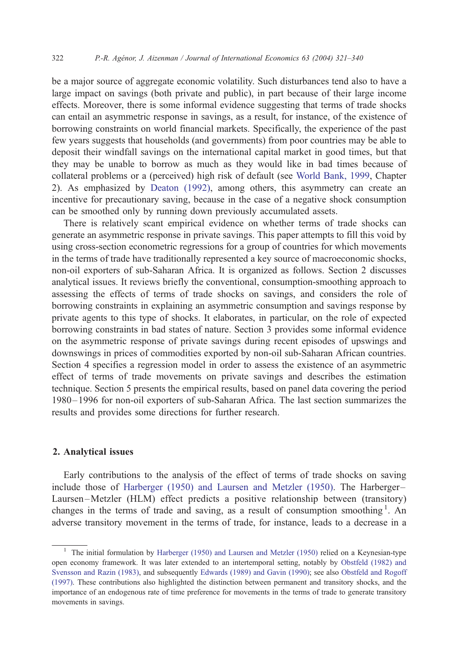be a major source of aggregate economic volatility. Such disturbances tend also to have a large impact on savings (both private and public), in part because of their large income effects. Moreover, there is some informal evidence suggesting that terms of trade shocks can entail an asymmetric response in savings, as a result, for instance, of the existence of borrowing constraints on world financial markets. Specifically, the experience of the past few years suggests that households (and governments) from poor countries may be able to deposit their windfall savings on the international capital market in good times, but that they may be unable to borrow as much as they would like in bad times because of collateral problems or a (perceived) high risk of default (see [World Bank, 1999,](#page--1-0) Chapter 2). As emphasized by [Deaton \(1992\),](#page--1-0) among others, this asymmetry can create an incentive for precautionary saving, because in the case of a negative shock consumption can be smoothed only by running down previously accumulated assets.

There is relatively scant empirical evidence on whether terms of trade shocks can generate an asymmetric response in private savings. This paper attempts to fill this void by using cross-section econometric regressions for a group of countries for which movements in the terms of trade have traditionally represented a key source of macroeconomic shocks, non-oil exporters of sub-Saharan Africa. It is organized as follows. Section 2 discusses analytical issues. It reviews briefly the conventional, consumption-smoothing approach to assessing the effects of terms of trade shocks on savings, and considers the role of borrowing constraints in explaining an asymmetric consumption and savings response by private agents to this type of shocks. It elaborates, in particular, on the role of expected borrowing constraints in bad states of nature. Section 3 provides some informal evidence on the asymmetric response of private savings during recent episodes of upswings and downswings in prices of commodities exported by non-oil sub-Saharan African countries. Section 4 specifies a regression model in order to assess the existence of an asymmetric effect of terms of trade movements on private savings and describes the estimation technique. Section 5 presents the empirical results, based on panel data covering the period 1980– 1996 for non-oil exporters of sub-Saharan Africa. The last section summarizes the results and provides some directions for further research.

### 2. Analytical issues

Early contributions to the analysis of the effect of terms of trade shocks on saving include those of [Harberger \(1950\) and Laursen and Metzler \(1950\).](#page--1-0) The Harberger– Laursen –Metzler (HLM) effect predicts a positive relationship between (transitory) changes in the terms of trade and saving, as a result of consumption smoothing<sup>1</sup>. An adverse transitory movement in the terms of trade, for instance, leads to a decrease in a

<sup>&</sup>lt;sup>1</sup> The initial formulation by [Harberger \(1950\) and Laursen and Metzler \(1950\)](#page--1-0) relied on a Keynesian-type open economy framework. It was later extended to an intertemporal setting, notably by [Obstfeld \(1982\) and](#page--1-0) Svensson and Razin (1983), and subsequently [Edwards \(1989\) and Gavin \(1990\);](#page--1-0) see also [Obstfeld and Rogoff](#page--1-0) (1997). These contributions also highlighted the distinction between permanent and transitory shocks, and the importance of an endogenous rate of time preference for movements in the terms of trade to generate transitory movements in savings.